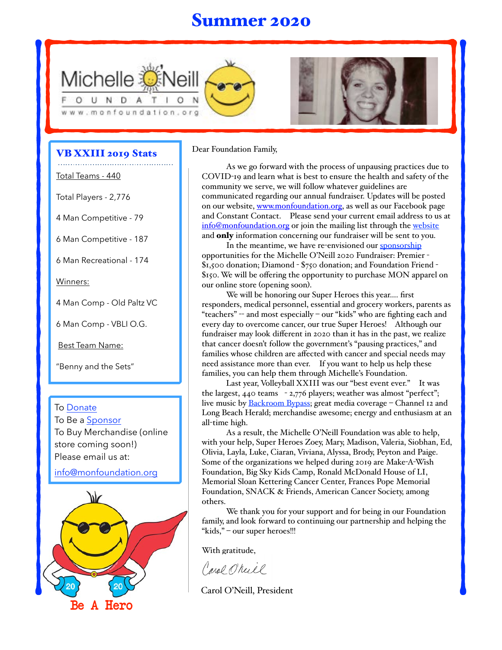## Summer 2020





### VB XXIII 2019 Stats

Total Teams - 440

Total Players - 2,776

4 Man Competitive - 79

6 Man Competitive - 187

6 Man Recreational - 174

Winners:

4 Man Comp - Old Paltz VC

6 Man Comp - VBLI O.G.

Best Team Name:

"Benny and the Sets"

To [Donate](https://www.monfoundation.org/)

To Be a [Sponsor](https://www.monfoundation.org/) To Buy Merchandise (online store coming soon!) Please email us at:

info@monfoundation.org



#### Dear Foundation Family,

As we go forward with the process of unpausing practices due to COVID-19 and learn what is best to ensure the health and safety of the community we serve, we will follow whatever guidelines are communicated regarding our annual fundraiser. Updates will be posted on our website, [www.monfoundation.org](http://www.monfoundation.org/), as well as our Facebook page and Constant Contact. Please send your current email address to us at [info@monfoundation.org](mailto:info@monfoundation.org) or join the mailing list through the [website](https://www.flipcause.com/secure/mailing_list/NTg0Njk=) and **only** information concerning our fundraiser will be sent to you.

In the meantime, we have re-envisioned our [sponsorship](https://www.flipcause.com/index.php/secure/cause_pdetails/MzY4OTQ=) opportunities for the Michelle O'Neill 2020 Fundraiser: Premier - \$1,500 donation; Diamond - \$750 donation; and Foundation Friend - \$150. We will be offering the opportunity to purchase MON apparel on our online store (opening soon).

We will be honoring our Super Heroes this year…. first responders, medical personnel, essential and grocery workers, parents as "teachers" -- and most especially – our "kids" who are fighting each and every day to overcome cancer, our true Super Heroes! Although our fundraiser may look different in 2020 than it has in the past, we realize that cancer doesn't follow the government's "pausing practices," and families whose children are affected with cancer and special needs may need assistance more than ever. If you want to help us help these families, you can help them through Michelle's Foundation.

Last year, Volleyball XXIII was our "best event ever." It was the largest, 440 teams - 2,776 players; weather was almost "perfect"; live music by **Backroom Bypass**; great media coverage - Channel 12 and Long Beach Herald; merchandise awesome; energy and enthusiasm at an all-time high.

As a result, the Michelle O'Neill Foundation was able to help, with your help, Super Heroes Zoey, Mary, Madison, Valeria, Siobhan, Ed, Olivia, Layla, Luke, Ciaran, Viviana, Alyssa, Brody, Peyton and Paige. Some of the organizations we helped during 2019 are Make-A-Wish Foundation, Big Sky Kids Camp, Ronald McDonald House of LI, Memorial Sloan Kettering Cancer Center, Frances Pope Memorial Foundation, SNACK & Friends, American Cancer Society, among others.

We thank you for your support and for being in our Foundation family, and look forward to continuing our partnership and helping the "kids," – our super heroes!!!

With gratitude,

Carol O'reill

Carol O'Neill, President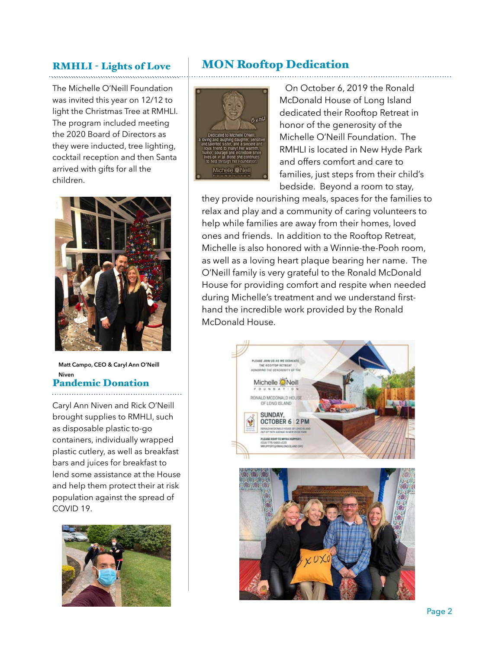### RMHLI - Lights of Love

The Michelle O'Neill Foundation was invited this year on 12/12 to light the Christmas Tree at RMHLI. The program included meeting the 2020 Board of Directors as they were inducted, tree lighting, cocktail reception and then Santa arrived with gifts for all the children.

### MON Rooftop Dedication

On October 6, 2019 the Ronald McDonald House of Long Island dedicated their Rooftop Retreat in honor of the generosity of the Michelle O'Neill Foundation. The RMHLI is located in New Hyde Park and offers comfort and care to



families, just steps from their child's bedside. Beyond a room to stay, they provide nourishing meals, spaces for the families to relax and play and a community of caring volunteers to help while families are away from their homes, loved ones and friends. In addition to the Rooftop Retreat, Michelle is also honored with a Winnie-the-Pooh room, as well as a loving heart plaque bearing her name. The O'Neill family is very grateful to the Ronald McDonald House for providing comfort and respite when needed during Michelle's treatment and we understand firsthand the incredible work provided by the Ronald McDonald House.



**Matt Campo, CEO & Caryl Ann O'Neill Niven**

### Pandemic Donation

Caryl Ann Niven and Rick O'Neill brought supplies to RMHLI, such as disposable plastic to-go containers, individually wrapped plastic cutlery, as well as breakfast bars and juices for breakfast to lend some assistance at the House and help them protect their at risk population against the spread of COVID 19.

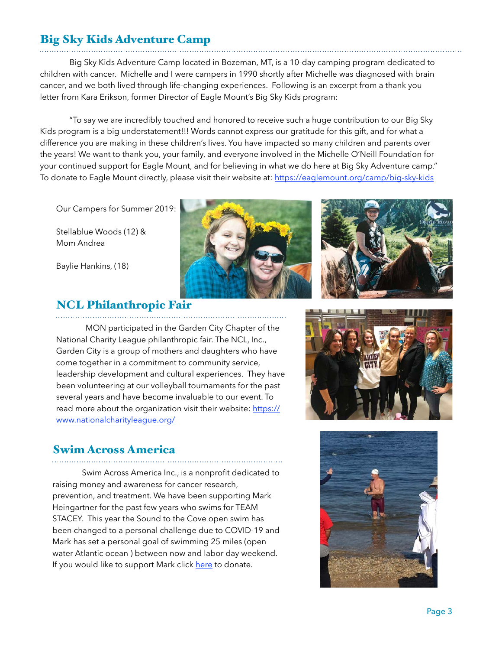## Big Sky Kids Adventure Camp

 Big Sky Kids Adventure Camp located in Bozeman, MT, is a 10-day camping program dedicated to children with cancer. Michelle and I were campers in 1990 shortly after Michelle was diagnosed with brain cancer, and we both lived through life-changing experiences. Following is an excerpt from a thank you letter from Kara Erikson, former Director of Eagle Mount's Big Sky Kids program:

 "To say we are incredibly touched and honored to receive such a huge contribution to our Big Sky Kids program is a big understatement!!! Words cannot express our gratitude for this gift, and for what a difference you are making in these children's lives. You have impacted so many children and parents over the years! We want to thank you, your family, and everyone involved in the Michelle O'Neill Foundation for your continued support for Eagle Mount, and for believing in what we do here at Big Sky Adventure camp." To donate to Eagle Mount directly, please visit their website at:<https://eaglemount.org/camp/big-sky-kids>

Our Campers for Summer 2019:

Stellablue Woods (12) & Mom Andrea

Baylie Hankins, (18)





### NCL Philanthropic Fair

 MON participated in the Garden City Chapter of the National Charity League philanthropic fair. The NCL, Inc., Garden City is a group of mothers and daughters who have come together in a commitment to community service, leadership development and cultural experiences. They have been volunteering at our volleyball tournaments for the past several years and have become invaluable to our event. To read more about the organization visit their website: [https://](https://www.nationalcharityleague.org/) [www.nationalcharityleague.org/](https://www.nationalcharityleague.org/)

### Swim Across America

 Swim Across America Inc., is a nonprofit dedicated to raising money and awareness for cancer research, prevention, and treatment. We have been supporting Mark Heingartner for the past few years who swims for TEAM STACEY. This year the Sound to the Cove open swim has been changed to a personal challenge due to COVID-19 and Mark has set a personal goal of swimming 25 miles (open water Atlantic ocean ) between now and labor day weekend. If you would like to support Mark click [here](https://www.swimacrossamerica.org/site/TR?px=1491346&pg=personal&fr_id=5525&et=EU4c4L8DRjU63kkv2afHMA&s_tafId=58033) to donate.



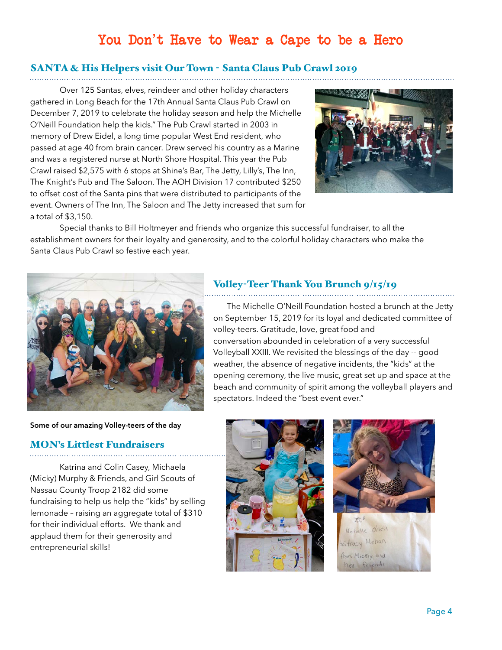## You Don't Have to Wear a Cape to be a Hero

# SANTA & His Helpers visit Our Town - Santa Claus Pub Crawl 2019

 Over 125 Santas, elves, reindeer and other holiday characters gathered in Long Beach for the 17th Annual Santa Claus Pub Crawl on December 7, 2019 to celebrate the holiday season and help the Michelle O'Neill Foundation help the kids." The Pub Crawl started in 2003 in memory of Drew Eidel, a long time popular West End resident, who passed at age 40 from brain cancer. Drew served his country as a Marine and was a registered nurse at North Shore Hospital. This year the Pub Crawl raised \$2,575 with 6 stops at Shine's Bar, The Jetty, Lilly's, The Inn, The Knight's Pub and The Saloon. The AOH Division 17 contributed \$250 to offset cost of the Santa pins that were distributed to participants of the event. Owners of The Inn, The Saloon and The Jetty increased that sum for a total of \$3,150.



 Special thanks to Bill Holtmeyer and friends who organize this successful fundraiser, to all the establishment owners for their loyalty and generosity, and to the colorful holiday characters who make the Santa Claus Pub Crawl so festive each year.



#### **Some of our amazing Volley-teers of the day**

### MON's Littlest Fundraisers

 Katrina and Colin Casey, Michaela (Micky) Murphy & Friends, and Girl Scouts of Nassau County Troop 2182 did some fundraising to help us help the "kids" by selling lemonade – raising an aggregate total of \$310 for their individual efforts. We thank and applaud them for their generosity and entrepreneurial skills!

## Volley-Teer Thank You Brunch 9/15/19

 The Michelle O'Neill Foundation hosted a brunch at the Jetty on September 15, 2019 for its loyal and dedicated committee of volley-teers. Gratitude, love, great food and conversation abounded in celebration of a very successful Volleyball XXIII. We revisited the blessings of the day -- good weather, the absence of negative incidents, the "kids" at the opening ceremony, the live music, great set up and space at the beach and community of spirit among the volleyball players and spectators. Indeed the "best event ever."



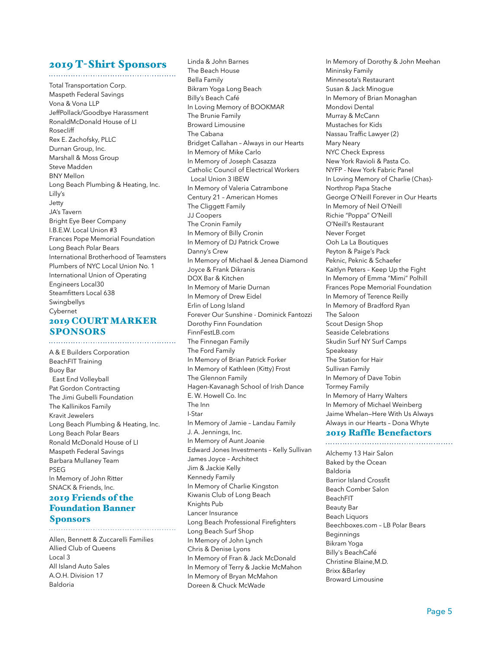### 2019 T-Shirt Sponsors

Total Transportation Corp. Maspeth Federal Savings Vona & Vona LLP JeffPollack/Goodbye Harassment RonaldMcDonald House of LI Rosecliff Rex E. Zachofsky, PLLC Durnan Group, Inc. Marshall & Moss Group Steve Madden BNY Mellon Long Beach Plumbing & Heating, Inc. Lilly's Jetty JA's Tavern Bright Eye Beer Company I.B.E.W. Local Union #3 Frances Pope Memorial Foundation Long Beach Polar Bears International Brotherhood of Teamsters Plumbers of NYC Local Union No. 1 International Union of Operating Engineers Local30 Steamfitters Local 638 Swingbellys Cybernet

### 2019 COURT MARKER SPONSORS

A & E Builders Corporation BeachFIT Training Buoy Bar East End Volleyball Pat Gordon Contracting The Jimi Gubelli Foundation The Kallinikos Family Kravit Jewelers Long Beach Plumbing & Heating, Inc. Long Beach Polar Bears Ronald McDonald House of LI Maspeth Federal Savings Barbara Mullaney Team PSEG In Memory of John Ritter SNACK & Friends, Inc. 2019 Friends of the

#### Foundation Banner Sponsors

Allen, Bennett & Zuccarelli Families Allied Club of Queens Local 3 All Island Auto Sales A.O.H. Division 17 Baldoria

Linda & John Barnes The Beach House Bella Family Bikram Yoga Long Beach Billy's Beach Café In Loving Memory of BOOKMAR The Brunie Family Broward Limousine The Cabana Bridget Callahan – Always in our Hearts In Memory of Mike Carlo In Memory of Joseph Casazza Catholic Council of Electrical Workers Local Union 3 IBEW In Memory of Valeria Catrambone Century 21 – American Homes The Cliggett Family JJ Coopers The Cronin Family In Memory of Billy Cronin In Memory of DJ Patrick Crowe Danny's Crew In Memory of Michael & Jenea Diamond Joyce & Frank Dikranis DOX Bar & Kitchen In Memory of Marie Durnan In Memory of Drew Eidel Erlin of Long Island Forever Our Sunshine - Dominick Fantozzi Dorothy Finn Foundation FinnFestLB.com The Finnegan Family The Ford Family In Memory of Brian Patrick Forker In Memory of Kathleen (Kitty) Frost The Glennon Family Hagen-Kavanagh School of Irish Dance E. W. Howell Co. Inc The Inn I-Star In Memory of Jamie – Landau Family J. A. Jennings, Inc. In Memory of Aunt Joanie Edward Jones Investments – Kelly Sullivan James Joyce – Architect Jim & Jackie Kelly Kennedy Family In Memory of Charlie Kingston Kiwanis Club of Long Beach Knights Pub Lancer Insurance Long Beach Professional Firefighters Long Beach Surf Shop In Memory of John Lynch Chris & Denise Lyons In Memory of Fran & Jack McDonald In Memory of Terry & Jackie McMahon In Memory of Bryan McMahon Doreen & Chuck McWade

In Memory of Dorothy & John Meehan Mininsky Family Minnesota's Restaurant Susan & Jack Minogue In Memory of Brian Monaghan Mondovi Dental Murray & McCann Mustaches for Kids Nassau Traffic Lawyer (2) Mary Neary NYC Check Express New York Ravioli & Pasta Co. NYFP - New York Fabric Panel In Loving Memory of Charlie (Chas)- Northrop Papa Stache George O'Neill Forever in Our Hearts In Memory of Neil O'Neill Richie "Poppa" O'Neill O'Neill's Restaurant Never Forget Ooh La La Boutiques Peyton & Paige's Pack Peknic, Peknic & Schaefer Kaitlyn Peters – Keep Up the Fight In Memory of Emma "Mimi" Polhill Frances Pope Memorial Foundation In Memory of Terence Reilly In Memory of Bradford Ryan The Saloon Scout Design Shop Seaside Celebrations Skudin Surf NY Surf Camps Speakeasy The Station for Hair Sullivan Family In Memory of Dave Tobin Tormey Family In Memory of Harry Walters In Memory of Michael Weinberg Jaime Whelan—Here With Us Always Always in our Hearts – Dona Whyte

#### 2019 Raffle Benefactors

Alchemy 13 Hair Salon Baked by the Ocean Baldoria Barrior Island Crossfit Beach Comber Salon BeachFIT Beauty Bar Beach Liquors Beechboxes.com – LB Polar Bears Beginnings Bikram Yoga Billy's BeachCafé Christine Blaine,M.D. Brixx &Barley Broward Limousine